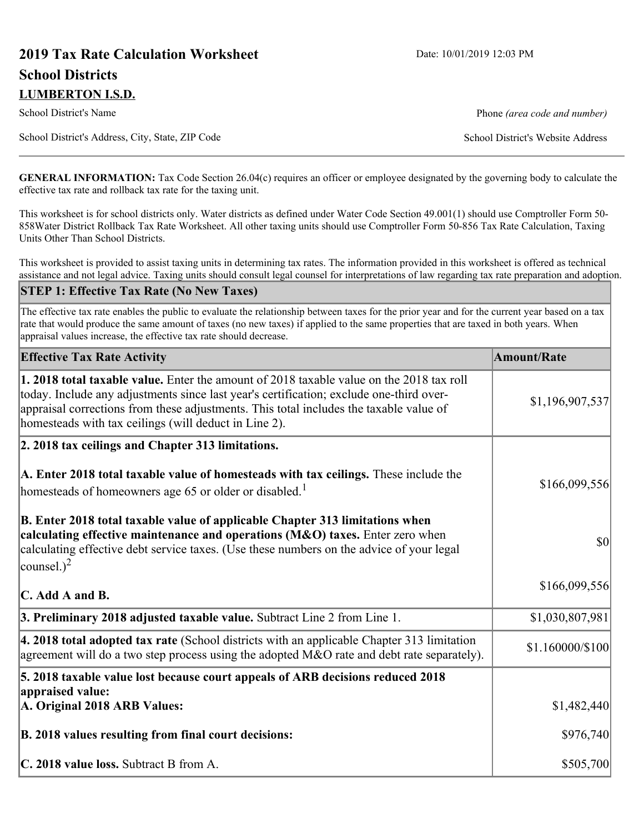# **2019 Tax Rate Calculation Worksheet** Date: 10/01/2019 12:03 PM **School Districts LUMBERTON I.S.D.**

School District's Name **Phone** *(area code and number)* Phone *(area code and number)* 

School District's Address, City, State, ZIP Code School District's Website Address

**GENERAL INFORMATION:** Tax Code Section 26.04(c) requires an officer or employee designated by the governing body to calculate the effective tax rate and rollback tax rate for the taxing unit.

This worksheet is for school districts only. Water districts as defined under Water Code Section 49.001(1) should use Comptroller Form 50- 858Water District Rollback Tax Rate Worksheet. All other taxing units should use Comptroller Form 50-856 Tax Rate Calculation, Taxing Units Other Than School Districts.

This worksheet is provided to assist taxing units in determining tax rates. The information provided in this worksheet is offered as technical assistance and not legal advice. Taxing units should consult legal counsel for interpretations of law regarding tax rate preparation and adoption.

#### **STEP 1: Effective Tax Rate (No New Taxes)**

The effective tax rate enables the public to evaluate the relationship between taxes for the prior year and for the current year based on a tax rate that would produce the same amount of taxes (no new taxes) if applied to the same properties that are taxed in both years. When appraisal values increase, the effective tax rate should decrease.

| <b>Effective Tax Rate Activity</b>                                                                                                                                                                                                                                                                                                            | <b>Amount/Rate</b> |
|-----------------------------------------------------------------------------------------------------------------------------------------------------------------------------------------------------------------------------------------------------------------------------------------------------------------------------------------------|--------------------|
| <b>1. 2018 total taxable value.</b> Enter the amount of 2018 taxable value on the 2018 tax roll<br>today. Include any adjustments since last year's certification; exclude one-third over-<br>appraisal corrections from these adjustments. This total includes the taxable value of<br>homesteads with tax ceilings (will deduct in Line 2). | \$1,196,907,537    |
| 2. 2018 tax ceilings and Chapter 313 limitations.                                                                                                                                                                                                                                                                                             |                    |
| A. Enter 2018 total taxable value of homesteads with tax ceilings. These include the<br>homesteads of homeowners age 65 or older or disabled. <sup>1</sup>                                                                                                                                                                                    | \$166,099,556      |
| B. Enter 2018 total taxable value of applicable Chapter 313 limitations when<br>calculating effective maintenance and operations (M&O) taxes. Enter zero when<br>calculating effective debt service taxes. (Use these numbers on the advice of your legal<br>counsel.) <sup>2</sup>                                                           | $ 10\rangle$       |
| $\mathbf C$ . Add A and B.                                                                                                                                                                                                                                                                                                                    | \$166,099,556      |
| 3. Preliminary 2018 adjusted taxable value. Subtract Line 2 from Line 1.                                                                                                                                                                                                                                                                      | \$1,030,807,981    |
| 4. 2018 total adopted tax rate (School districts with an applicable Chapter 313 limitation<br>agreement will do a two step process using the adopted $M&O$ rate and debt rate separately).                                                                                                                                                    | \$1.160000/\$100   |
| 5. 2018 taxable value lost because court appeals of ARB decisions reduced 2018                                                                                                                                                                                                                                                                |                    |
| appraised value:<br>A. Original 2018 ARB Values:                                                                                                                                                                                                                                                                                              | \$1,482,440        |
| B. 2018 values resulting from final court decisions:                                                                                                                                                                                                                                                                                          | \$976,740          |
| C. 2018 value loss. Subtract B from A.                                                                                                                                                                                                                                                                                                        | \$505,700          |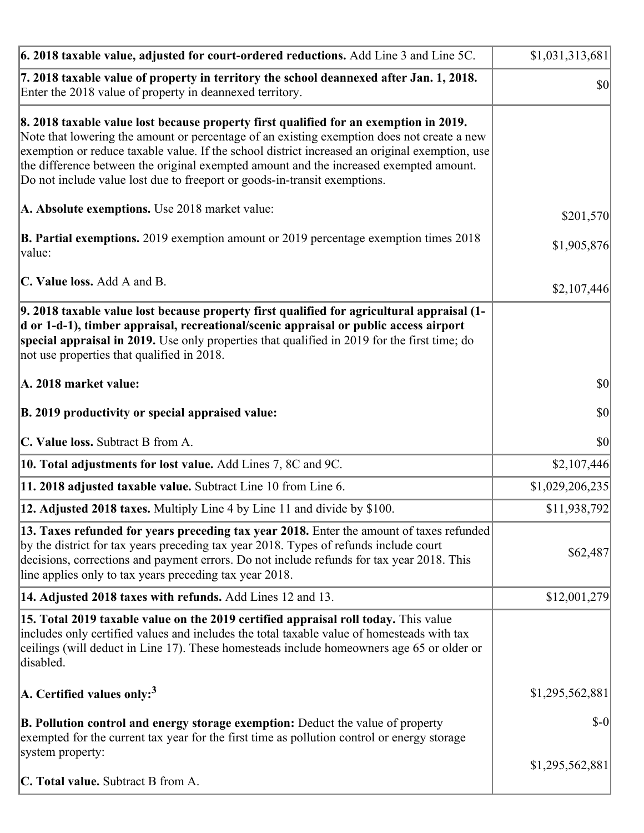| 6. 2018 taxable value, adjusted for court-ordered reductions. Add Line 3 and Line 5C.                                                                                                                                                                                                                                                                                                                                                                        | \$1,031,313,681                     |
|--------------------------------------------------------------------------------------------------------------------------------------------------------------------------------------------------------------------------------------------------------------------------------------------------------------------------------------------------------------------------------------------------------------------------------------------------------------|-------------------------------------|
| 7. 2018 taxable value of property in territory the school deannexed after Jan. 1, 2018.<br>Enter the 2018 value of property in deannexed territory.                                                                                                                                                                                                                                                                                                          | $\vert \mathbf{S} \mathbf{O} \vert$ |
| 8. 2018 taxable value lost because property first qualified for an exemption in 2019.<br>Note that lowering the amount or percentage of an existing exemption does not create a new<br>exemption or reduce taxable value. If the school district increased an original exemption, use<br>the difference between the original exempted amount and the increased exempted amount.<br>Do not include value lost due to freeport or goods-in-transit exemptions. |                                     |
| A. Absolute exemptions. Use 2018 market value:                                                                                                                                                                                                                                                                                                                                                                                                               | \$201,570                           |
| <b>B. Partial exemptions.</b> 2019 exemption amount or 2019 percentage exemption times 2018<br>$\vert$ value:                                                                                                                                                                                                                                                                                                                                                | \$1,905,876                         |
| C. Value loss. Add A and B.                                                                                                                                                                                                                                                                                                                                                                                                                                  | \$2,107,446                         |
| 9. 2018 taxable value lost because property first qualified for agricultural appraisal (1-<br>d or 1-d-1), timber appraisal, recreational/scenic appraisal or public access airport<br>special appraisal in 2019. Use only properties that qualified in 2019 for the first time; do<br>not use properties that qualified in 2018.                                                                                                                            |                                     |
| A. 2018 market value:                                                                                                                                                                                                                                                                                                                                                                                                                                        | $ 10\rangle$                        |
| B. 2019 productivity or special appraised value:                                                                                                                                                                                                                                                                                                                                                                                                             | \$0                                 |
| C. Value loss. Subtract B from A.                                                                                                                                                                                                                                                                                                                                                                                                                            | <b>\$0</b>                          |
| 10. Total adjustments for lost value. Add Lines 7, 8C and 9C.                                                                                                                                                                                                                                                                                                                                                                                                | \$2,107,446                         |
| 11. 2018 adjusted taxable value. Subtract Line 10 from Line 6.                                                                                                                                                                                                                                                                                                                                                                                               | \$1,029,206,235                     |
| <b>12. Adjusted 2018 taxes.</b> Multiply Line 4 by Line 11 and divide by \$100.                                                                                                                                                                                                                                                                                                                                                                              | \$11,938,792                        |
| [13. Taxes refunded for years preceding tax year 2018. Enter the amount of taxes refunded]<br>by the district for tax years preceding tax year 2018. Types of refunds include court<br>decisions, corrections and payment errors. Do not include refunds for tax year 2018. This<br>line applies only to tax years preceding tax year 2018.                                                                                                                  | \$62,487                            |
| 14. Adjusted 2018 taxes with refunds. Add Lines 12 and 13.                                                                                                                                                                                                                                                                                                                                                                                                   | \$12,001,279                        |
| 15. Total 2019 taxable value on the 2019 certified appraisal roll today. This value<br>includes only certified values and includes the total taxable value of homesteads with tax<br>ceilings (will deduct in Line 17). These homesteads include homeowners age 65 or older or<br>disabled.                                                                                                                                                                  |                                     |
| A. Certified values only: <sup>3</sup>                                                                                                                                                                                                                                                                                                                                                                                                                       | \$1,295,562,881                     |
| <b>B. Pollution control and energy storage exemption:</b> Deduct the value of property<br>exempted for the current tax year for the first time as pollution control or energy storage<br>system property:                                                                                                                                                                                                                                                    | $$-0$                               |
| <b>C. Total value.</b> Subtract B from A.                                                                                                                                                                                                                                                                                                                                                                                                                    | \$1,295,562,881                     |
|                                                                                                                                                                                                                                                                                                                                                                                                                                                              |                                     |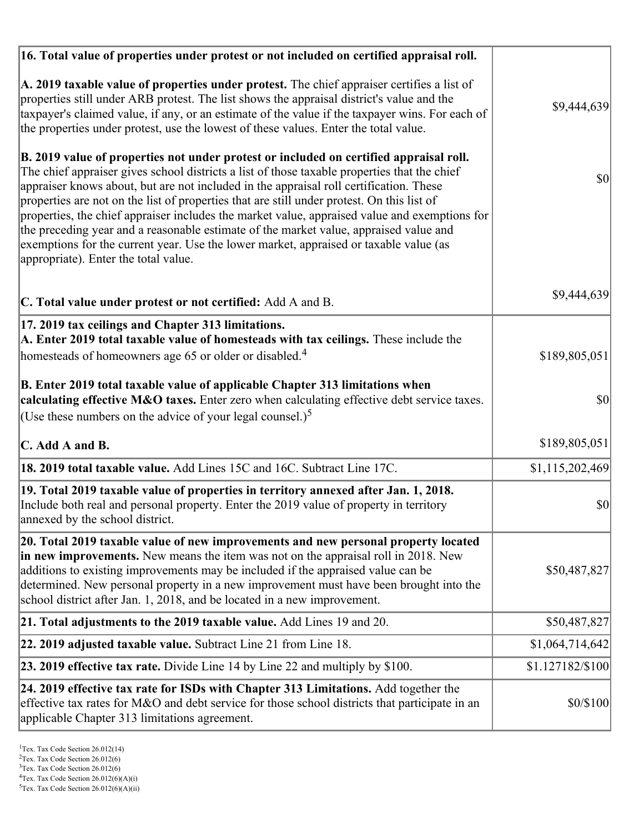| 16. Total value of properties under protest or not included on certified appraisal roll.                                                                                                                                                                                                                                                                                                                                                                                                                                                                                                                                                                                                                  |                  |
|-----------------------------------------------------------------------------------------------------------------------------------------------------------------------------------------------------------------------------------------------------------------------------------------------------------------------------------------------------------------------------------------------------------------------------------------------------------------------------------------------------------------------------------------------------------------------------------------------------------------------------------------------------------------------------------------------------------|------------------|
| A. 2019 taxable value of properties under protest. The chief appraiser certifies a list of<br>properties still under ARB protest. The list shows the appraisal district's value and the<br>taxpayer's claimed value, if any, or an estimate of the value if the taxpayer wins. For each of<br>the properties under protest, use the lowest of these values. Enter the total value.                                                                                                                                                                                                                                                                                                                        | \$9,444,639      |
| B. 2019 value of properties not under protest or included on certified appraisal roll.<br>The chief appraiser gives school districts a list of those taxable properties that the chief<br>appraiser knows about, but are not included in the appraisal roll certification. These<br>properties are not on the list of properties that are still under protest. On this list of<br>properties, the chief appraiser includes the market value, appraised value and exemptions for<br>the preceding year and a reasonable estimate of the market value, appraised value and<br>exemptions for the current year. Use the lower market, appraised or taxable value (as<br>appropriate). Enter the total value. | 30               |
| C. Total value under protest or not certified: Add A and B.                                                                                                                                                                                                                                                                                                                                                                                                                                                                                                                                                                                                                                               | \$9,444,639      |
| 17. 2019 tax ceilings and Chapter 313 limitations.<br>A. Enter 2019 total taxable value of homesteads with tax ceilings. These include the                                                                                                                                                                                                                                                                                                                                                                                                                                                                                                                                                                |                  |
| homesteads of homeowners age 65 or older or disabled. <sup>4</sup>                                                                                                                                                                                                                                                                                                                                                                                                                                                                                                                                                                                                                                        | \$189,805,051    |
| B. Enter 2019 total taxable value of applicable Chapter 313 limitations when<br>calculating effective M&O taxes. Enter zero when calculating effective debt service taxes.                                                                                                                                                                                                                                                                                                                                                                                                                                                                                                                                | \$0              |
| (Use these numbers on the advice of your legal counsel.) <sup>5</sup>                                                                                                                                                                                                                                                                                                                                                                                                                                                                                                                                                                                                                                     |                  |
| C. Add A and B.                                                                                                                                                                                                                                                                                                                                                                                                                                                                                                                                                                                                                                                                                           | \$189,805,051    |
| 18. 2019 total taxable value. Add Lines 15C and 16C. Subtract Line 17C.                                                                                                                                                                                                                                                                                                                                                                                                                                                                                                                                                                                                                                   | \$1,115,202,469  |
| 19. Total 2019 taxable value of properties in territory annexed after Jan. 1, 2018.<br>Include both real and personal property. Enter the 2019 value of property in territory<br>annexed by the school district.                                                                                                                                                                                                                                                                                                                                                                                                                                                                                          | \$0              |
| 20. Total 2019 taxable value of new improvements and new personal property located<br>in new improvements. New means the item was not on the appraisal roll in 2018. New<br>additions to existing improvements may be included if the appraised value can be<br>determined. New personal property in a new improvement must have been brought into the<br>school district after Jan. 1, 2018, and be located in a new improvement.                                                                                                                                                                                                                                                                        | \$50,487,827     |
| 21. Total adjustments to the 2019 taxable value. Add Lines 19 and 20.                                                                                                                                                                                                                                                                                                                                                                                                                                                                                                                                                                                                                                     | \$50,487,827     |
| <b>22. 2019 adjusted taxable value.</b> Subtract Line 21 from Line 18.                                                                                                                                                                                                                                                                                                                                                                                                                                                                                                                                                                                                                                    | \$1,064,714,642  |
| <b>23. 2019 effective tax rate.</b> Divide Line 14 by Line 22 and multiply by \$100.                                                                                                                                                                                                                                                                                                                                                                                                                                                                                                                                                                                                                      | \$1.127182/\$100 |
| 24. 2019 effective tax rate for ISDs with Chapter 313 Limitations. Add together the<br>effective tax rates for M&O and debt service for those school districts that participate in an<br>applicable Chapter 313 limitations agreement.                                                                                                                                                                                                                                                                                                                                                                                                                                                                    | \$0/\$100        |

<sup>&</sup>lt;sup>1</sup>Tex. Tax Code Section 26.012(14)

 $2$ Tex. Tax Code Section 26.012(6)

<sup>&</sup>lt;sup>3</sup>Tex. Tax Code Section 26.012(6)

 ${}^{4}$ Tex. Tax Code Section 26.012(6)(A)(i)

 $5$ Tex. Tax Code Section 26.012(6)(A)(ii)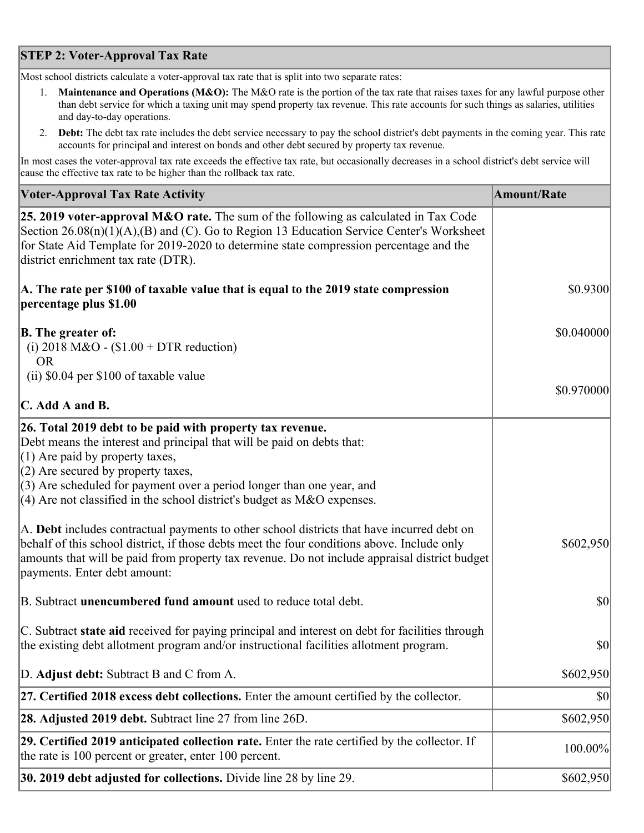## **STEP 2: Voter-Approval Tax Rate**

Most school districts calculate a voter-approval tax rate that is split into two separate rates:

- 1. **Maintenance and Operations (M&O):** The M&O rate is the portion of the tax rate that raises taxes for any lawful purpose other than debt service for which a taxing unit may spend property tax revenue. This rate accounts for such things as salaries, utilities and day-to-day operations.
- 2. **Debt:** The debt tax rate includes the debt service necessary to pay the school district's debt payments in the coming year. This rate accounts for principal and interest on bonds and other debt secured by property tax revenue.

In most cases the voter-approval tax rate exceeds the effective tax rate, but occasionally decreases in a school district's debt service will cause the effective tax rate to be higher than the rollback tax rate.

| <b>Voter-Approval Tax Rate Activity</b>                                                                                                                                                                                                                                                                                                                                  | <b>Amount/Rate</b> |
|--------------------------------------------------------------------------------------------------------------------------------------------------------------------------------------------------------------------------------------------------------------------------------------------------------------------------------------------------------------------------|--------------------|
| 25. 2019 voter-approval M&O rate. The sum of the following as calculated in Tax Code<br>Section 26.08(n)(1)(A),(B) and (C). Go to Region 13 Education Service Center's Worksheet<br>for State Aid Template for 2019-2020 to determine state compression percentage and the<br>district enrichment tax rate (DTR).                                                        |                    |
| A. The rate per \$100 of taxable value that is equal to the 2019 state compression<br>percentage plus \$1.00                                                                                                                                                                                                                                                             | \$0.9300           |
| <b>B.</b> The greater of:<br>(i) 2018 M&O - $$1.00 + DTR$ reduction)<br><b>OR</b>                                                                                                                                                                                                                                                                                        | \$0.040000         |
| (ii) \$0.04 per \$100 of taxable value                                                                                                                                                                                                                                                                                                                                   |                    |
| $\mathbf C$ . Add A and B.                                                                                                                                                                                                                                                                                                                                               | \$0.970000         |
| 26. Total 2019 debt to be paid with property tax revenue.<br>Debt means the interest and principal that will be paid on debts that:<br>$(1)$ Are paid by property taxes,<br>$(2)$ Are secured by property taxes,<br>$(3)$ Are scheduled for payment over a period longer than one year, and<br>$(4)$ Are not classified in the school district's budget as M&O expenses. |                    |
| A. Debt includes contractual payments to other school districts that have incurred debt on<br>behalf of this school district, if those debts meet the four conditions above. Include only<br>amounts that will be paid from property tax revenue. Do not include appraisal district budget<br>payments. Enter debt amount:                                               | \$602,950          |
| B. Subtract unencumbered fund amount used to reduce total debt.                                                                                                                                                                                                                                                                                                          | $ 10\rangle$       |
| C. Subtract state aid received for paying principal and interest on debt for facilities through<br>the existing debt allotment program and/or instructional facilities allotment program.                                                                                                                                                                                | \$0                |
| D. Adjust debt: Subtract B and C from A.                                                                                                                                                                                                                                                                                                                                 | \$602,950          |
| 27. Certified 2018 excess debt collections. Enter the amount certified by the collector.                                                                                                                                                                                                                                                                                 | \$0                |
| <b>28. Adjusted 2019 debt.</b> Subtract line 27 from line 26D.                                                                                                                                                                                                                                                                                                           | \$602,950          |
| 29. Certified 2019 anticipated collection rate. Enter the rate certified by the collector. If<br>the rate is 100 percent or greater, enter 100 percent.                                                                                                                                                                                                                  | 100.00%            |
| 30. 2019 debt adjusted for collections. Divide line 28 by line 29.                                                                                                                                                                                                                                                                                                       | \$602,950          |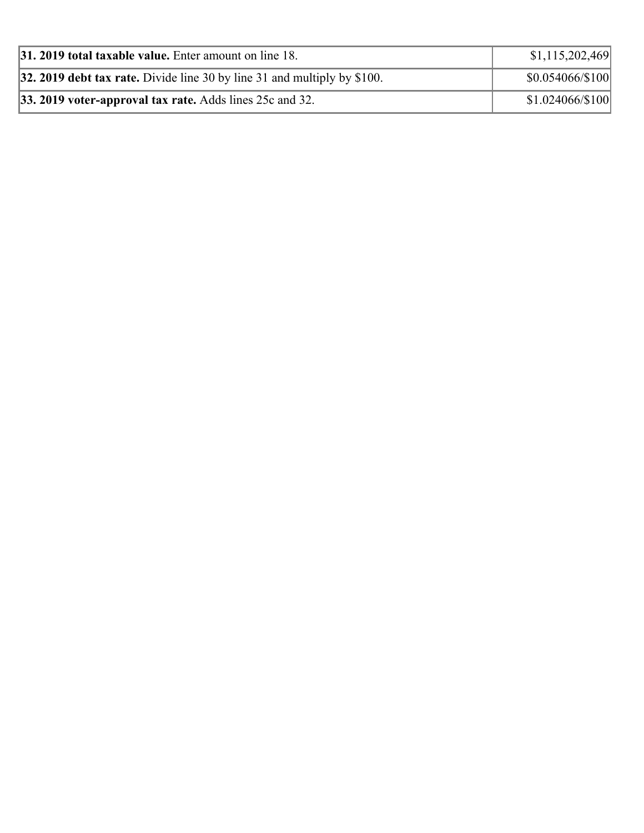| <b>31. 2019 total taxable value.</b> Enter amount on line 18.              | \$1,115,202,469        |
|----------------------------------------------------------------------------|------------------------|
| 32. 2019 debt tax rate. Divide line 30 by line 31 and multiply by $$100$ . | \$0.054066/\$100       |
| <b>33. 2019 voter-approval tax rate.</b> Adds lines 25c and 32.            | $$1.024066 \times 100$ |